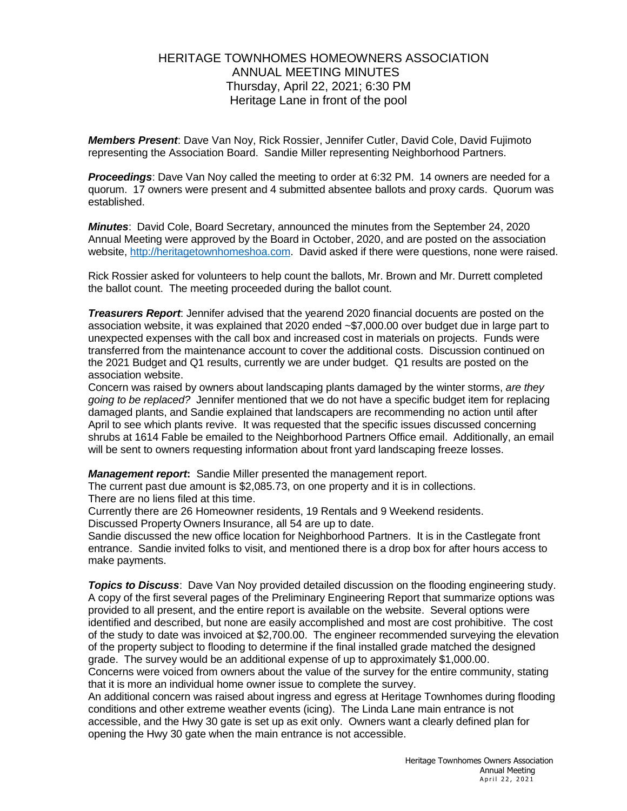## HERITAGE TOWNHOMES HOMEOWNERS ASSOCIATION ANNUAL MEETING MINUTES Thursday, April 22, 2021; 6:30 PM Heritage Lane in front of the pool

*Members Present*: Dave Van Noy, Rick Rossier, Jennifer Cutler, David Cole, David Fujimoto representing the Association Board. Sandie Miller representing Neighborhood Partners.

**Proceedings:** Dave Van Noy called the meeting to order at 6:32 PM. 14 owners are needed for a quorum. 17 owners were present and 4 submitted absentee ballots and proxy cards. Quorum was established.

*Minutes*: David Cole, Board Secretary, announced the minutes from the September 24, 2020 Annual Meeting were approved by the Board in October, 2020, and are posted on the association website, [http://heritagetownhomeshoa.com.](http://heritagetownhomeshoa.com/) David asked if there were questions, none were raised.

Rick Rossier asked for volunteers to help count the ballots, Mr. Brown and Mr. Durrett completed the ballot count. The meeting proceeded during the ballot count.

*Treasurers Report*: Jennifer advised that the yearend 2020 financial docuents are posted on the association website, it was explained that 2020 ended ~\$7,000.00 over budget due in large part to unexpected expenses with the call box and increased cost in materials on projects. Funds were transferred from the maintenance account to cover the additional costs. Discussion continued on the 2021 Budget and Q1 results, currently we are under budget. Q1 results are posted on the association website.

Concern was raised by owners about landscaping plants damaged by the winter storms, *are they going to be replaced?* Jennifer mentioned that we do not have a specific budget item for replacing damaged plants, and Sandie explained that landscapers are recommending no action until after April to see which plants revive. It was requested that the specific issues discussed concerning shrubs at 1614 Fable be emailed to the Neighborhood Partners Office email. Additionally, an email will be sent to owners requesting information about front yard landscaping freeze losses.

*Management report***:** Sandie Miller presented the management report.

The current past due amount is \$2,085.73, on one property and it is in collections. There are no liens filed at this time.

Currently there are 26 Homeowner residents, 19 Rentals and 9 Weekend residents.

Discussed Property Owners Insurance, all 54 are up to date.

Sandie discussed the new office location for Neighborhood Partners. It is in the Castlegate front entrance. Sandie invited folks to visit, and mentioned there is a drop box for after hours access to make payments.

**Topics to Discuss**: Dave Van Noy provided detailed discussion on the flooding engineering study. A copy of the first several pages of the Preliminary Engineering Report that summarize options was provided to all present, and the entire report is available on the website. Several options were identified and described, but none are easily accomplished and most are cost prohibitive. The cost of the study to date was invoiced at \$2,700.00. The engineer recommended surveying the elevation of the property subject to flooding to determine if the final installed grade matched the designed grade. The survey would be an additional expense of up to approximately \$1,000.00.

Concerns were voiced from owners about the value of the survey for the entire community, stating that it is more an individual home owner issue to complete the survey.

An additional concern was raised about ingress and egress at Heritage Townhomes during flooding conditions and other extreme weather events (icing). The Linda Lane main entrance is not accessible, and the Hwy 30 gate is set up as exit only. Owners want a clearly defined plan for opening the Hwy 30 gate when the main entrance is not accessible.